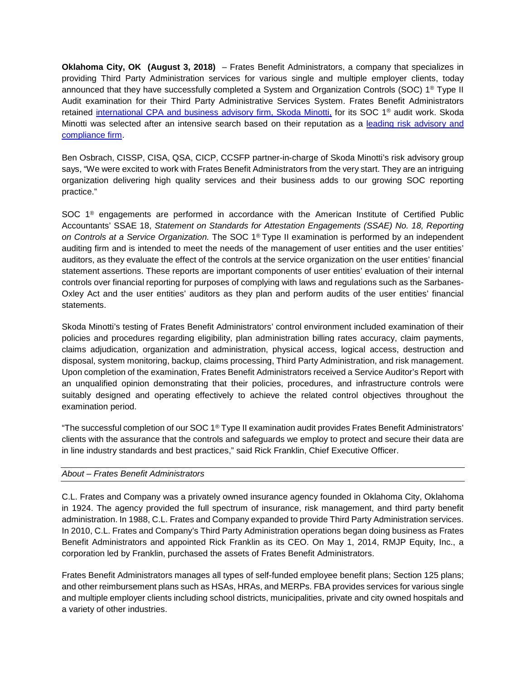**Oklahoma City, OK (August 3, 2018)** – Frates Benefit Administrators, a company that specializes in providing Third Party Administration services for various single and multiple employer clients, today announced that they have successfully completed a System and Organization Controls (SOC) 1® Type II Audit examination for their Third Party Administrative Services System. Frates Benefit Administrators retained [international CPA and business advisory firm,](https://www.skodaminotti.com/) Skoda Minotti, for its SOC 1® audit work. Skoda Minotti was selected after an intensive search based on their reputation as a [leading risk advisory and](http://risk.skodaminotti.com/)  [compliance firm.](http://risk.skodaminotti.com/)

Ben Osbrach, CISSP, CISA, QSA, CICP, CCSFP partner-in-charge of Skoda Minotti's risk advisory group says, "We were excited to work with Frates Benefit Administrators from the very start. They are an intriguing organization delivering high quality services and their business adds to our growing SOC reporting practice."

SOC 1<sup>®</sup> engagements are performed in accordance with the American Institute of Certified Public Accountants' SSAE 18, *Statement on Standards for Attestation Engagements (SSAE) No. 18, Reporting on Controls at a Service Organization.* The SOC 1® Type II examination is performed by an independent auditing firm and is intended to meet the needs of the management of user entities and the user entities' auditors, as they evaluate the effect of the controls at the service organization on the user entities' financial statement assertions. These reports are important components of user entities' evaluation of their internal controls over financial reporting for purposes of complying with laws and regulations such as the Sarbanes-Oxley Act and the user entities' auditors as they plan and perform audits of the user entities' financial statements.

Skoda Minotti's testing of Frates Benefit Administrators' control environment included examination of their policies and procedures regarding eligibility, plan administration billing rates accuracy, claim payments, claims adjudication, organization and administration, physical access, logical access, destruction and disposal, system monitoring, backup, claims processing, Third Party Administration, and risk management. Upon completion of the examination, Frates Benefit Administrators received a Service Auditor's Report with an unqualified opinion demonstrating that their policies, procedures, and infrastructure controls were suitably designed and operating effectively to achieve the related control objectives throughout the examination period.

"The successful completion of our SOC 1® Type II examination audit provides Frates Benefit Administrators' clients with the assurance that the controls and safeguards we employ to protect and secure their data are in line industry standards and best practices," said Rick Franklin, Chief Executive Officer.

## *About – Frates Benefit Administrators*

C.L. Frates and Company was a privately owned insurance agency founded in Oklahoma City, Oklahoma in 1924. The agency provided the full spectrum of insurance, risk management, and third party benefit administration. In 1988, C.L. Frates and Company expanded to provide Third Party Administration services. In 2010, C.L. Frates and Company's Third Party Administration operations began doing business as Frates Benefit Administrators and appointed Rick Franklin as its CEO. On May 1, 2014, RMJP Equity, Inc., a corporation led by Franklin, purchased the assets of Frates Benefit Administrators.

Frates Benefit Administrators manages all types of self-funded employee benefit plans; Section 125 plans; and other reimbursement plans such as HSAs, HRAs, and MERPs. FBA provides services for various single and multiple employer clients including school districts, municipalities, private and city owned hospitals and a variety of other industries.